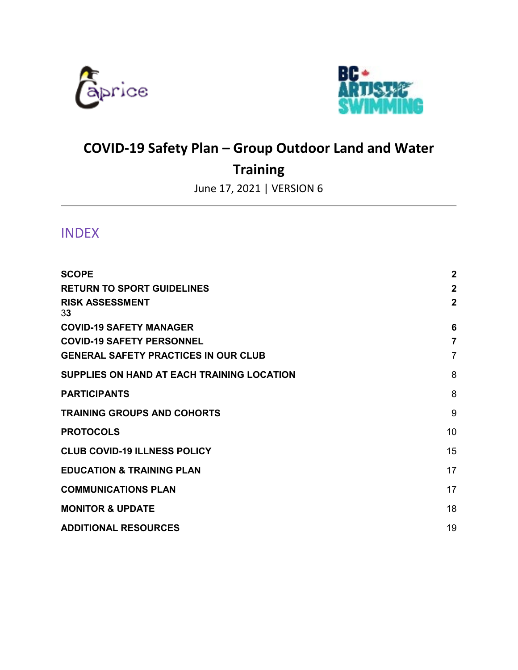



# **COVID-19 Safety Plan – Group Outdoor Land and Water Training**

June 17, 2021 | VERSION 6

## INDEX

| $\overline{2}$ |
|----------------|
| $\overline{2}$ |
| $\overline{2}$ |
| 6              |
| 7              |
| 7              |
| 8              |
| 8              |
| 9              |
| 10             |
| 15             |
| 17             |
| 17             |
| 18             |
| 19             |
|                |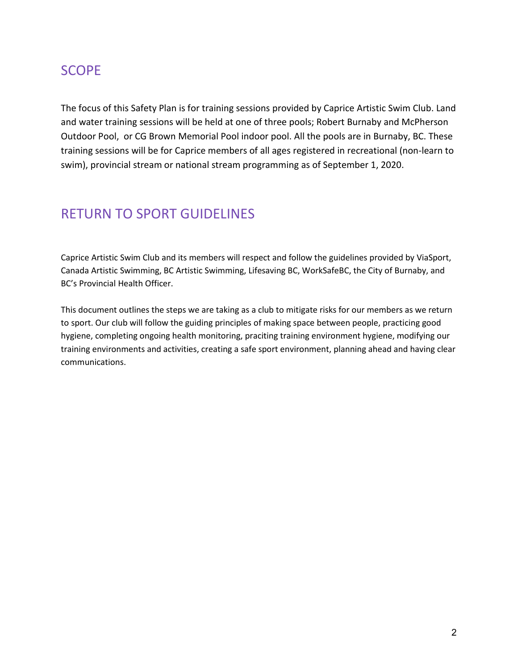## <span id="page-1-0"></span>SCOPE

The focus of this Safety Plan is for training sessions provided by Caprice Artistic Swim Club. Land and water training sessions will be held at one of three pools; Robert Burnaby and McPherson Outdoor Pool, or CG Brown Memorial Pool indoor pool. All the pools are in Burnaby, BC. These training sessions will be for Caprice members of all ages registered in recreational (non-learn to swim), provincial stream or national stream programming as of September 1, 2020.

## <span id="page-1-1"></span>RETURN TO SPORT GUIDELINES

Caprice Artistic Swim Club and its members will respect and follow the guidelines provided by ViaSport, Canada Artistic Swimming, BC Artistic Swimming, Lifesaving BC, WorkSafeBC, the City of Burnaby, and BC's Provincial Health Officer.

This document outlines the steps we are taking as a club to mitigate risks for our members as we return to sport. Our club will follow the guiding principles of making space between people, practicing good hygiene, completing ongoing health monitoring, praciting training environment hygiene, modifying our training environments and activities, creating a safe sport environment, planning ahead and having clear communications.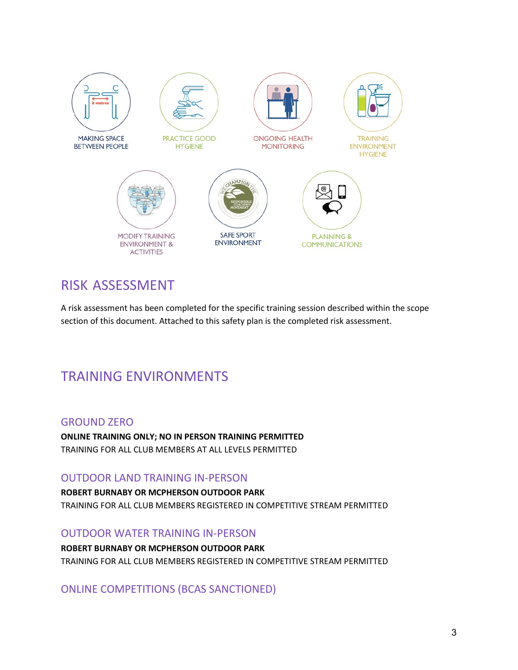

## <span id="page-2-0"></span>RISK ASSESSMENT

A risk assessment has been completed for the specific training session described within the scope section of this document. Attached to this safety plan is the completed risk assessment.

## TRAINING ENVIRONMENTS

## GROUND ZERO

**ONLINE TRAINING ONLY; NO IN PERSON TRAINING PERMITTED** TRAINING FOR ALL CLUB MEMBERS AT ALL LEVELS PERMITTED

## OUTDOOR LAND TRAINING IN-PERSON

**ROBERT BURNABY OR MCPHERSON OUTDOOR PARK** TRAINING FOR ALL CLUB MEMBERS REGISTERED IN COMPETITIVE STREAM PERMITTED

## OUTDOOR WATER TRAINING IN-PERSON

**ROBERT BURNABY OR MCPHERSON OUTDOOR PARK** TRAINING FOR ALL CLUB MEMBERS REGISTERED IN COMPETITIVE STREAM PERMITTED

ONLINE COMPETITIONS (BCAS SANCTIONED)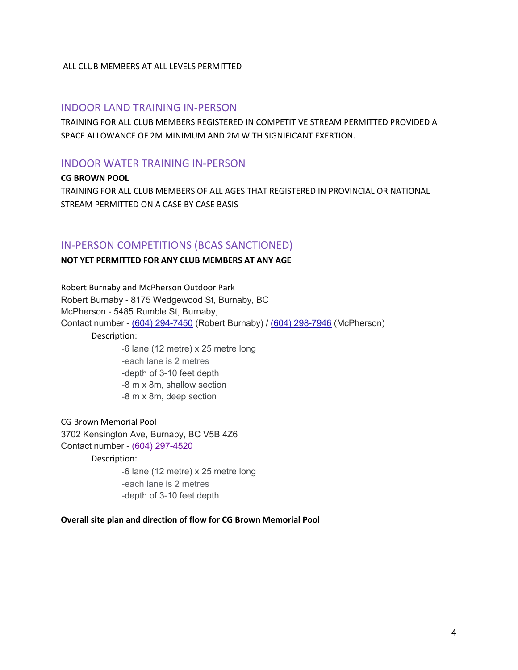#### ALL CLUB MEMBERS AT ALL LEVELS PERMITTED

### INDOOR LAND TRAINING IN-PERSON

TRAINING FOR ALL CLUB MEMBERS REGISTERED IN COMPETITIVE STREAM PERMITTED PROVIDED A SPACE ALLOWANCE OF 2M MINIMUM AND 2M WITH SIGNIFICANT EXERTION.

### INDOOR WATER TRAINING IN-PERSON

**CG BROWN POOL** TRAINING FOR ALL CLUB MEMBERS OF ALL AGES THAT REGISTERED IN PROVINCIAL OR NATIONAL STREAM PERMITTED ON A CASE BY CASE BASIS

### IN-PERSON COMPETITIONS (BCAS SANCTIONED)

### **NOT YET PERMITTED FOR ANY CLUB MEMBERS AT ANY AGE**

Robert Burnaby and McPherson Outdoor Park Robert Burnaby - 8175 Wedgewood St, Burnaby, BC McPherson - 5485 Rumble St, Burnaby, Contact number - [\(604\) 294-7450](https://www.google.ca/search?q=robert+burnaby+park&sxsrf=ALeKk01Ef6r1m-4u_rF_QS6ujR8ecAPgKg%3A1623620147411&source=hp&ei=M3rGYK_uFa7R0PEPqYqjaA&iflsig=AINFCbYAAAAAYMaIQ9sVRV-EVs7cMRGYMccCSptlkV1s&oq=robert+burn&gs_lcp=Cgdnd3Mtd2l6EAEYADIECCMQJzINCC4QhwIQxwEQrwEQFDICCAAyAggAMggILhDHARCvATIICC4QxwEQrwEyBQgAELEDMgIIADICCAAyCAguEMcBEK8BOgoILhDHARCvARBDOgQIABBDOgsILhCxAxDHARCjAjoICC4QsQMQgwE6BQgAEJECOgsILhDHARCvARCRAjoKCC4QsQMQgwEQQzoFCC4QsQM6BAguEEM6AgguUJAIWLksYJA7aABwAHgAgAGXAogB_AuSAQU2LjIuM5gBAKABAaoBB2d3cy13aXo&sclient=gws-wiz) (Robert Burnaby) / [\(604\) 298-7946](https://www.google.ca/search?q=mcpherson+pool&sxsrf=ALeKk00CBFyI1hTFWh10WNrGFAskXcMUaw%3A1623619474187&source=hp&ei=knfGYMGeCZOd-gSuk7ToCQ&iflsig=AINFCbYAAAAAYMaFohkDJPujZj9SX1G8-Kk2uwIipLA4&gs_ssp=eJzj4tVP1zc0TLdIzskyKEszYLRSNagwNbEwMzczMTc0NDZOSkwxtDKoSDFNskg2M0pMTkszMTAxSvLiy00uyEgtKs7PUyjIz88BAK5aFMc&oq=mcpher&gs_lcp=Cgdnd3Mtd2l6EAEYATIOCC4QsQMQxwEQrwEQkwIyCAguEMcBEK8BMggILhDHARCvATIICC4QxwEQrwEyAggAMggILhDHARCvATICCAAyCAguEMcBEK8BMggILhDHARCvATICCAA6BAgjECc6BQguEJECOgsILhDHARCvARCRAjoFCAAQsQM6CAguELEDEIMBOgsILhCxAxDHARCjAjoFCAAQkQI6DgguELEDEIMBEMcBEK8BOggIABCxAxCDAToLCC4QsQMQxwEQrwE6BQguELEDOgIILlCVB1jOE2DfKWgAcAB4AIABa4gBuASSAQM0LjKYAQCgAQGqAQdnd3Mtd2l6&sclient=gws-wiz) (McPherson) Description: -6 lane (12 metre) x 25 metre long -each lane is 2 metres -depth of 3-10 feet depth -8 m x 8m, shallow section -8 m x 8m, deep section

CG Brown Memorial Pool 3702 Kensington Ave, Burnaby, BC V5B 4Z6 Contact number - [\(604\) 297-4520](https://www.google.com/search?ei=R8VoX4CqE8z3-gSKkIpo&q=cg+brown&oq=cg+brown&gs_lcp=CgZwc3ktYWIQAzILCC4QxwEQrwEQkwI6DQguEMcBEK8BEEMQkwI6BAgAEEM6CggAELEDEIMBEEM6CgguEMcBEK8BEEM6AgguOgsILhCxAxDHARCjAjoICAAQsQMQgwE6BQgAELEDOggILhDHARCvAToCCAA6BAgAEAo6BggAEBYQHjoFCCEQoAFQo8YDWLndA2Do3gNoBnAAeACAAWCIAYYHkgECMTKYAQCgAQGqAQdnd3Mtd2l6wAEB&sclient=psy-ab&ved=0ahUKEwjA6e3hxvrrAhXMu54KHQqIAg0Q4dUDCA0&uact=5)

Description:

-6 lane (12 metre) x 25 metre long -each lane is 2 metres -depth of 3-10 feet depth

#### **Overall site plan and direction of flow for CG Brown Memorial Pool**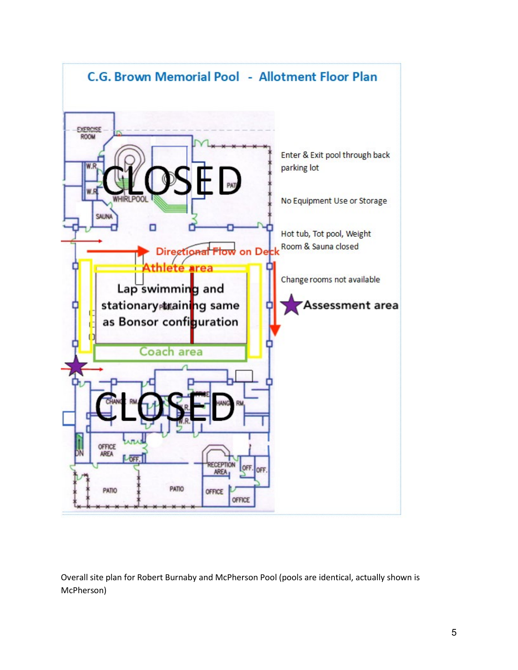

Overall site plan for Robert Burnaby and McPherson Pool (pools are identical, actually shown is McPherson)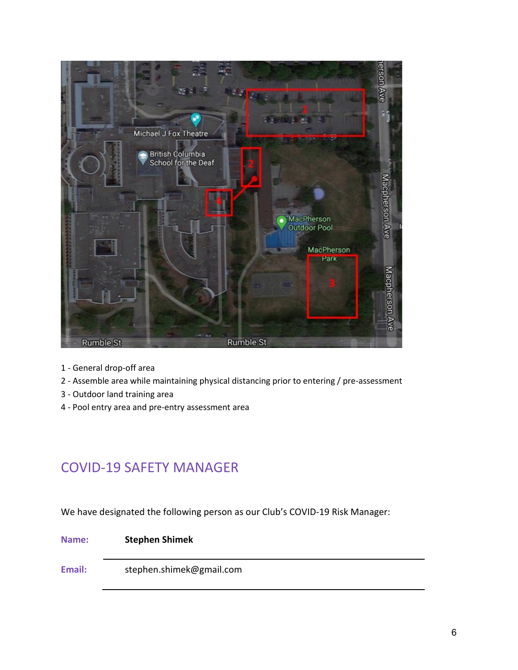

- 1 General drop-off area
- 2 Assemble area while maintaining physical distancing prior to entering / pre-assessment
- 3 Outdoor land training area
- 4 Pool entry area and pre-entry assessment area

## <span id="page-5-0"></span>COVID-19 SAFETY MANAGER

We have designated the following person as our Club's COVID-19 Risk Manager:

| Name:  | <b>Stephen Shimek</b>    |
|--------|--------------------------|
| Email: | stephen.shimek@gmail.com |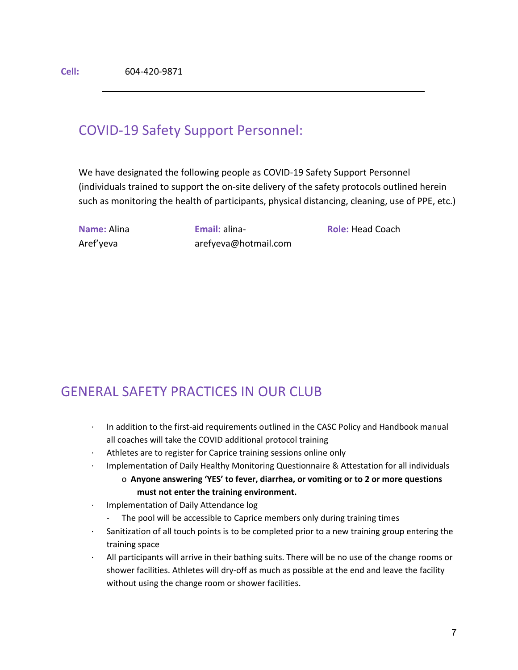## <span id="page-6-0"></span>COVID-19 Safety Support Personnel:

We have designated the following people as COVID-19 Safety Support Personnel (individuals trained to support the on-site delivery of the safety protocols outlined herein such as monitoring the health of participants, physical distancing, cleaning, use of PPE, etc.)

**Name:** Alina Aref'yeva

**Email:** alinaarefyeva@hotmail.com **Role:** Head Coach

## <span id="page-6-1"></span>GENERAL SAFETY PRACTICES IN OUR CLUB

- ∙ In addition to the first-aid requirements outlined in the CASC Policy and Handbook manual all coaches will take the COVID additional protocol training
- · Athletes are to register for Caprice training sessions online only
- · Implementation of Daily Healthy Monitoring Questionnaire & Attestation for all individuals
	- o **Anyone answering 'YES' to fever, diarrhea, or vomiting or to 2 or more questions must not enter the training environment.**
- · Implementation of Daily Attendance log
	- The pool will be accessible to Caprice members only during training times
- · Sanitization of all touch points is to be completed prior to a new training group entering the training space
- · All participants will arrive in their bathing suits. There will be no use of the change rooms or shower facilities. Athletes will dry-off as much as possible at the end and leave the facility without using the change room or shower facilities.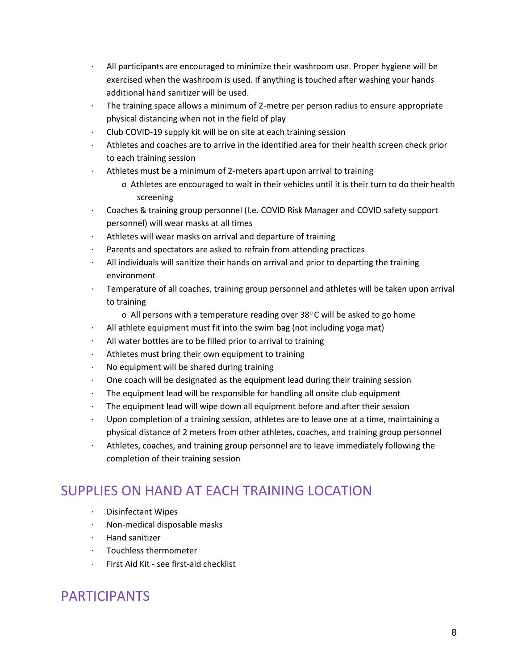- · All participants are encouraged to minimize their washroom use. Proper hygiene will be exercised when the washroom is used. If anything is touched after washing your hands additional hand sanitizer will be used.
- The training space allows a minimum of 2-metre per person radius to ensure appropriate physical distancing when not in the field of play
- Club COVID-19 supply kit will be on site at each training session
- · Athletes and coaches are to arrive in the identified area for their health screen check prior to each training session
- · Athletes must be a minimum of 2-meters apart upon arrival to training
	- o Athletes are encouraged to wait in their vehicles until it is their turn to do their health screening
- · Coaches & training group personnel (I.e. COVID Risk Manager and COVID safety support personnel) will wear masks at all times
- Athletes will wear masks on arrival and departure of training
- Parents and spectators are asked to refrain from attending practices
- · All individuals will sanitize their hands on arrival and prior to departing the training environment
- Temperature of all coaches, training group personnel and athletes will be taken upon arrival to training
	- o All persons with a temperature reading over  $38^{\circ}$ C will be asked to go home
- · All athlete equipment must fit into the swim bag (not including yoga mat)
- · All water bottles are to be filled prior to arrival to training
- · Athletes must bring their own equipment to training
- · No equipment will be shared during training
- One coach will be designated as the equipment lead during their training session
- The equipment lead will be responsible for handling all onsite club equipment
- · The equipment lead will wipe down all equipment before and after their session
- · Upon completion of a training session, athletes are to leave one at a time, maintaining a physical distance of 2 meters from other athletes, coaches, and training group personnel
- Athletes, coaches, and training group personnel are to leave immediately following the completion of their training session

## <span id="page-7-0"></span>SUPPLIES ON HAND AT EACH TRAINING LOCATION

- · Disinfectant Wipes
- · Non-medical disposable masks
- · Hand sanitizer
- · Touchless thermometer
- · First Aid Kit see first-aid checklist

## <span id="page-7-1"></span>PARTICIPANTS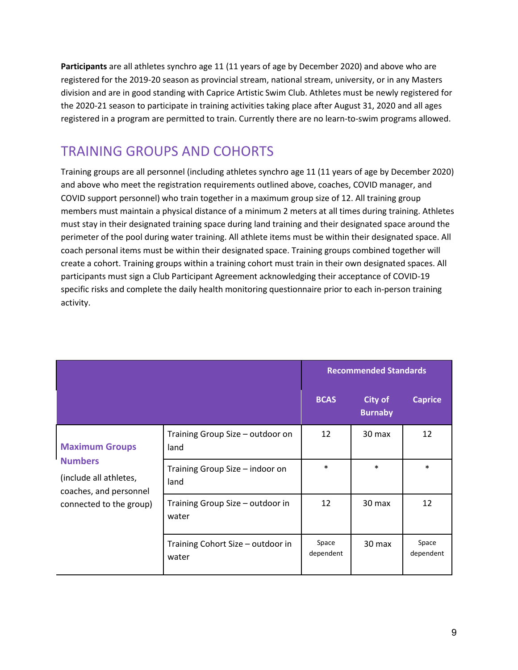**Participants** are all athletes synchro age 11 (11 years of age by December 2020) and above who are registered for the 2019-20 season as provincial stream, national stream, university, or in any Masters division and are in good standing with Caprice Artistic Swim Club. Athletes must be newly registered for the 2020-21 season to participate in training activities taking place after August 31, 2020 and all ages registered in a program are permitted to train. Currently there are no learn-to-swim programs allowed.

## <span id="page-8-0"></span>TRAINING GROUPS AND COHORTS

Training groups are all personnel (including athletes synchro age 11 (11 years of age by December 2020) and above who meet the registration requirements outlined above, coaches, COVID manager, and COVID support personnel) who train together in a maximum group size of 12. All training group members must maintain a physical distance of a minimum 2 meters at all times during training. Athletes must stay in their designated training space during land training and their designated space around the perimeter of the pool during water training. All athlete items must be within their designated space. All coach personal items must be within their designated space. Training groups combined together will create a cohort. Training groups within a training cohort must train in their own designated spaces. All participants must sign a Club Participant Agreement acknowledging their acceptance of COVID-19 specific risks and complete the daily health monitoring questionnaire prior to each in-person training activity.

|                                                                    |                                            | <b>Recommended Standards</b> |                                  |                    |
|--------------------------------------------------------------------|--------------------------------------------|------------------------------|----------------------------------|--------------------|
|                                                                    |                                            | <b>BCAS</b>                  | <b>City of</b><br><b>Burnaby</b> | <b>Caprice</b>     |
| <b>Maximum Groups</b>                                              | Training Group Size - outdoor on<br>land   | 12                           | $30 \text{ max}$                 | 12                 |
| <b>Numbers</b><br>(include all athletes,<br>coaches, and personnel | Training Group Size - indoor on<br>land    | $\ast$                       | $\ast$                           | $\ast$             |
| connected to the group)                                            | Training Group Size - outdoor in<br>water  | 12                           | 30 max                           | 12                 |
|                                                                    | Training Cohort Size - outdoor in<br>water | Space<br>dependent           | 30 max                           | Space<br>dependent |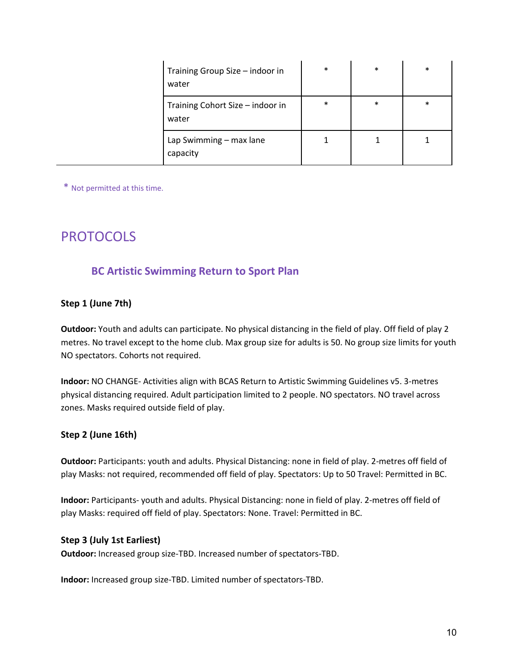| Training Group Size - indoor in<br>water  | $\ast$ | $\ast$ | $\ast$ |
|-------------------------------------------|--------|--------|--------|
| Training Cohort Size - indoor in<br>water | $\ast$ | $\ast$ | $\ast$ |
| Lap Swimming - max lane<br>capacity       |        |        |        |

\* Not permitted at this time.

## <span id="page-9-0"></span>PROTOCOLS

## **BC Artistic Swimming Return to Sport Plan**

#### **Step 1 (June 7th)**

**Outdoor:** Youth and adults can participate. No physical distancing in the field of play. Off field of play 2 metres. No travel except to the home club. Max group size for adults is 50. No group size limits for youth NO spectators. Cohorts not required.

**Indoor:** NO CHANGE- Activities align with BCAS Return to Artistic Swimming Guidelines v5. 3-metres physical distancing required. Adult participation limited to 2 people. NO spectators. NO travel across zones. Masks required outside field of play.

#### **Step 2 (June 16th)**

**Outdoor:** Participants: youth and adults. Physical Distancing: none in field of play. 2-metres off field of play Masks: not required, recommended off field of play. Spectators: Up to 50 Travel: Permitted in BC.

**Indoor:** Participants- youth and adults. Physical Distancing: none in field of play. 2-metres off field of play Masks: required off field of play. Spectators: None. Travel: Permitted in BC.

#### **Step 3 (July 1st Earliest)**

**Outdoor:** Increased group size-TBD. Increased number of spectators-TBD.

**Indoor:** Increased group size-TBD. Limited number of spectators-TBD.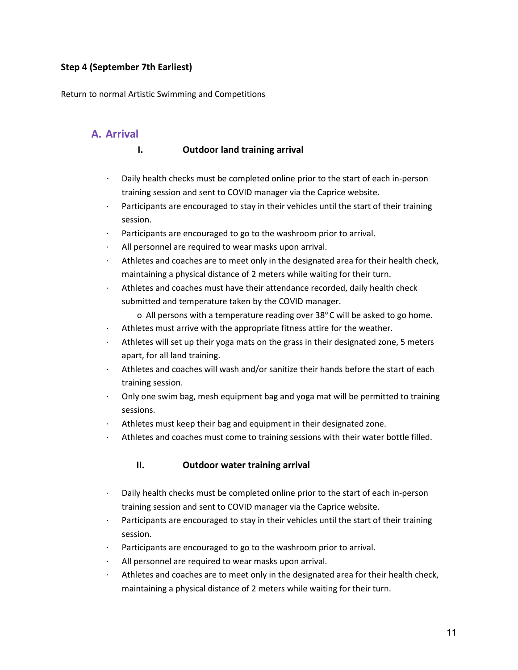### **Step 4 (September 7th Earliest)**

Return to normal Artistic Swimming and Competitions

## **A. Arrival**

- **I. Outdoor land training arrival**
- · Daily health checks must be completed online prior to the start of each in-person training session and sent to COVID manager via the Caprice website.
- Participants are encouraged to stay in their vehicles until the start of their training session.
- Participants are encouraged to go to the washroom prior to arrival.
- All personnel are required to wear masks upon arrival.
- Athletes and coaches are to meet only in the designated area for their health check, maintaining a physical distance of 2 meters while waiting for their turn.
- · Athletes and coaches must have their attendance recorded, daily health check submitted and temperature taken by the COVID manager.
	- o All persons with a temperature reading over  $38^{\circ}$ C will be asked to go home.
- · Athletes must arrive with the appropriate fitness attire for the weather.
- · Athletes will set up their yoga mats on the grass in their designated zone, 5 meters apart, for all land training.
- Athletes and coaches will wash and/or sanitize their hands before the start of each training session.
- · Only one swim bag, mesh equipment bag and yoga mat will be permitted to training sessions.
- Athletes must keep their bag and equipment in their designated zone.
- Athletes and coaches must come to training sessions with their water bottle filled.

### **II. Outdoor water training arrival**

- · Daily health checks must be completed online prior to the start of each in-person training session and sent to COVID manager via the Caprice website.
- Participants are encouraged to stay in their vehicles until the start of their training session.
- Participants are encouraged to go to the washroom prior to arrival.
- All personnel are required to wear masks upon arrival.
- Athletes and coaches are to meet only in the designated area for their health check, maintaining a physical distance of 2 meters while waiting for their turn.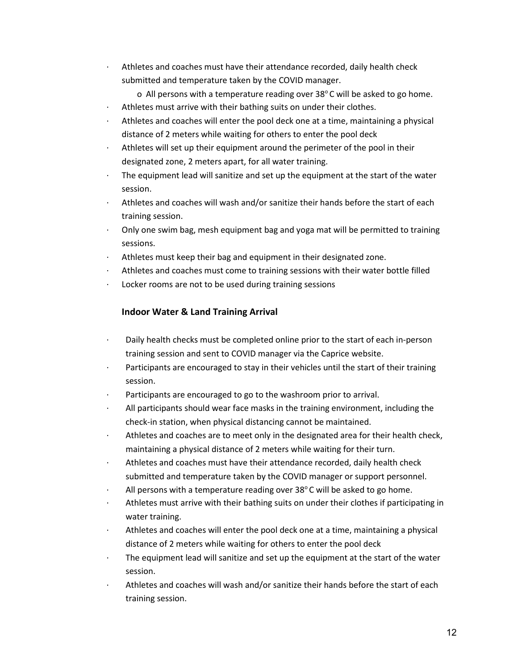- · Athletes and coaches must have their attendance recorded, daily health check submitted and temperature taken by the COVID manager.
	- o All persons with a temperature reading over  $38^{\circ}$ C will be asked to go home.
- Athletes must arrive with their bathing suits on under their clothes.
- Athletes and coaches will enter the pool deck one at a time, maintaining a physical distance of 2 meters while waiting for others to enter the pool deck
- · Athletes will set up their equipment around the perimeter of the pool in their designated zone, 2 meters apart, for all water training.
- $\cdot$  The equipment lead will sanitize and set up the equipment at the start of the water session.
- · Athletes and coaches will wash and/or sanitize their hands before the start of each training session.
- · Only one swim bag, mesh equipment bag and yoga mat will be permitted to training sessions.
- · Athletes must keep their bag and equipment in their designated zone.
- · Athletes and coaches must come to training sessions with their water bottle filled
- ∙ Locker rooms are not to be used during training sessions

### **Indoor Water & Land Training Arrival**

- ∙ Daily health checks must be completed online prior to the start of each in-person training session and sent to COVID manager via the Caprice website.
- Participants are encouraged to stay in their vehicles until the start of their training session.
- ∙ Participants are encouraged to go to the washroom prior to arrival.
- ∙ All participants should wear face masks in the training environment, including the check-in station, when physical distancing cannot be maintained.
- ∙ Athletes and coaches are to meet only in the designated area for their health check, maintaining a physical distance of 2 meters while waiting for their turn.
- ∙ Athletes and coaches must have their attendance recorded, daily health check submitted and temperature taken by the COVID manager or support personnel.
- All persons with a temperature reading over  $38^{\circ}$ C will be asked to go home.
- ∙ Athletes must arrive with their bathing suits on under their clothes if participating in water training.
- ∙ Athletes and coaches will enter the pool deck one at a time, maintaining a physical distance of 2 meters while waiting for others to enter the pool deck
- ∙ The equipment lead will sanitize and set up the equipment at the start of the water session.
- ∙ Athletes and coaches will wash and/or sanitize their hands before the start of each training session.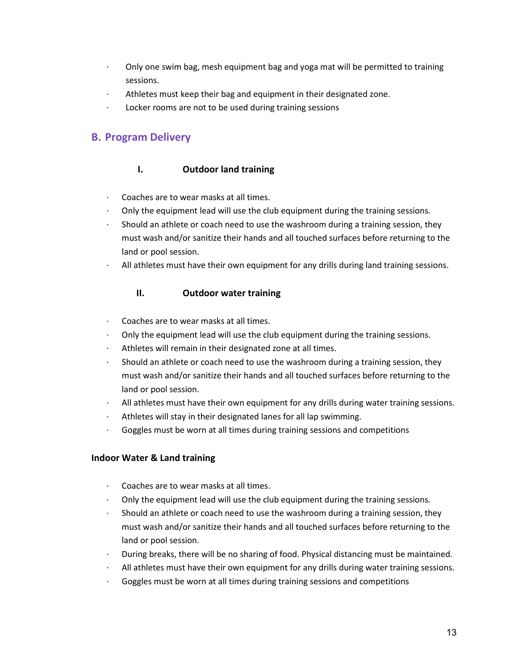- ∙ Only one swim bag, mesh equipment bag and yoga mat will be permitted to training sessions.
- ∙ Athletes must keep their bag and equipment in their designated zone.
- ∙ Locker rooms are not to be used during training sessions

## **B. Program Delivery**

### **I. Outdoor land training**

- Coaches are to wear masks at all times.
- · Only the equipment lead will use the club equipment during the training sessions.
- · Should an athlete or coach need to use the washroom during a training session, they must wash and/or sanitize their hands and all touched surfaces before returning to the land or pool session.
- All athletes must have their own equipment for any drills during land training sessions.

### **II. Outdoor water training**

- · Coaches are to wear masks at all times.
- · Only the equipment lead will use the club equipment during the training sessions.
- Athletes will remain in their designated zone at all times.
- · Should an athlete or coach need to use the washroom during a training session, they must wash and/or sanitize their hands and all touched surfaces before returning to the land or pool session.
- All athletes must have their own equipment for any drills during water training sessions.
- · Athletes will stay in their designated lanes for all lap swimming.
- ∙ Goggles must be worn at all times during training sessions and competitions

### **Indoor Water & Land training**

- ∙ Coaches are to wear masks at all times.
- ∙ Only the equipment lead will use the club equipment during the training sessions.
- ∙ Should an athlete or coach need to use the washroom during a training session, they must wash and/or sanitize their hands and all touched surfaces before returning to the land or pool session.
- ∙ During breaks, there will be no sharing of food. Physical distancing must be maintained.
- ∙ All athletes must have their own equipment for any drills during water training sessions.
- ∙ Goggles must be worn at all times during training sessions and competitions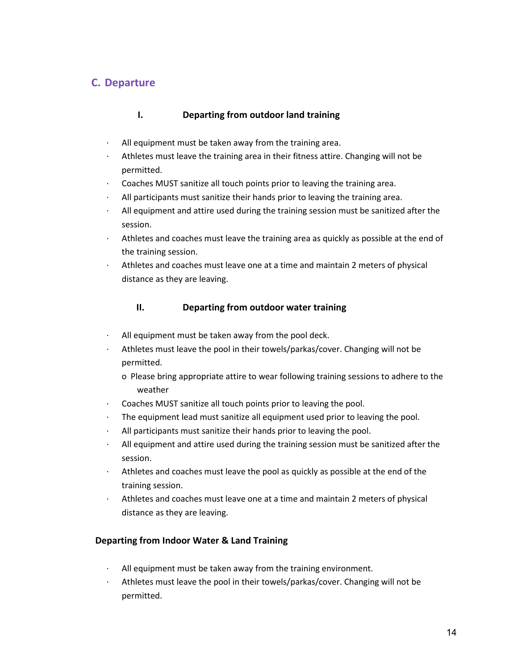## **C. Departure**

### **I. Departing from outdoor land training**

- All equipment must be taken away from the training area.
- · Athletes must leave the training area in their fitness attire. Changing will not be permitted.
- · Coaches MUST sanitize all touch points prior to leaving the training area.
- All participants must sanitize their hands prior to leaving the training area.
- · All equipment and attire used during the training session must be sanitized after the session.
- · Athletes and coaches must leave the training area as quickly as possible at the end of the training session.
- · Athletes and coaches must leave one at a time and maintain 2 meters of physical distance as they are leaving.

### **II. Departing from outdoor water training**

- All equipment must be taken away from the pool deck.
- Athletes must leave the pool in their towels/parkas/cover. Changing will not be permitted.
	- o Please bring appropriate attire to wear following training sessions to adhere to the weather
- · Coaches MUST sanitize all touch points prior to leaving the pool.
- · The equipment lead must sanitize all equipment used prior to leaving the pool.
- · All participants must sanitize their hands prior to leaving the pool.
- · All equipment and attire used during the training session must be sanitized after the session.
- · Athletes and coaches must leave the pool as quickly as possible at the end of the training session.
- · Athletes and coaches must leave one at a time and maintain 2 meters of physical distance as they are leaving.

### **Departing from Indoor Water & Land Training**

- ∙ All equipment must be taken away from the training environment.
- ∙ Athletes must leave the pool in their towels/parkas/cover. Changing will not be permitted.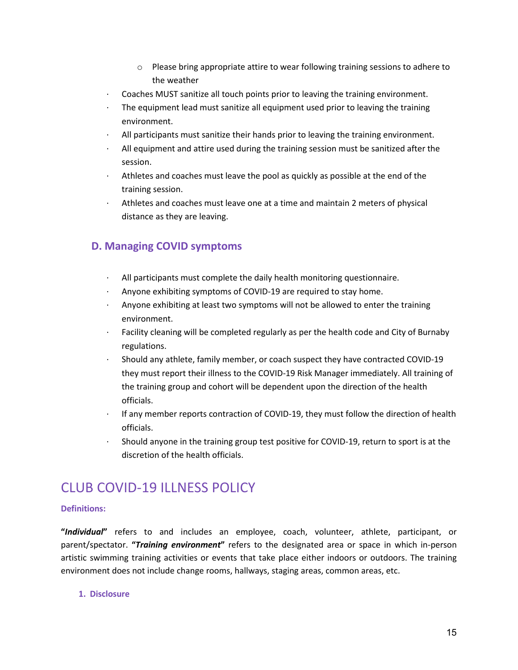- o Please bring appropriate attire to wear following training sessions to adhere to the weather
- ∙ Coaches MUST sanitize all touch points prior to leaving the training environment.
- ∙ The equipment lead must sanitize all equipment used prior to leaving the training environment.
- ∙ All participants must sanitize their hands prior to leaving the training environment.
- ∙ All equipment and attire used during the training session must be sanitized after the session.
- ∙ Athletes and coaches must leave the pool as quickly as possible at the end of the training session.
- ∙ Athletes and coaches must leave one at a time and maintain 2 meters of physical distance as they are leaving.

## **D. Managing COVID symptoms**

- ∙ All participants must complete the daily health monitoring questionnaire.
- ∙ Anyone exhibiting symptoms of COVID-19 are required to stay home.
- ∙ Anyone exhibiting at least two symptoms will not be allowed to enter the training environment.
- ∙ Facility cleaning will be completed regularly as per the health code and City of Burnaby regulations.
- ∙ Should any athlete, family member, or coach suspect they have contracted COVID-19 they must report their illness to the COVID-19 Risk Manager immediately. All training of the training group and cohort will be dependent upon the direction of the health officials.
- ∙ If any member reports contraction of COVID-19, they must follow the direction of health officials.
- ∙ Should anyone in the training group test positive for COVID-19, return to sport is at the discretion of the health officials.

## <span id="page-14-0"></span>CLUB COVID-19 ILLNESS POLICY

### **Definitions:**

**"***Individual***"** refers to and includes an employee, coach, volunteer, athlete, participant, or parent/spectator. **"***Training environment***"** refers to the designated area or space in which in-person artistic swimming training activities or events that take place either indoors or outdoors. The training environment does not include change rooms, hallways, staging areas, common areas, etc.

#### **1. Disclosure**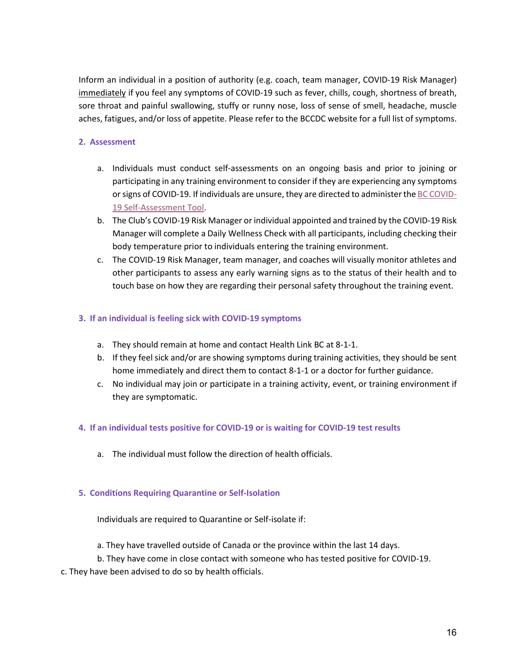Inform an individual in a position of authority (e.g. coach, team manager, COVID-19 Risk Manager) immediately if you feel any symptoms of COVID-19 such as fever, chills, cough, shortness of breath, sore throat and painful swallowing, stuffy or runny nose, loss of sense of smell, headache, muscle aches, fatigues, and/or loss of appetite. Please refer to the BCCDC website for a full list of symptoms.

### **2. Assessment**

- a. Individuals must conduct self-assessments on an ongoing basis and prior to joining or participating in any training environment to consider if they are experiencing any symptoms or signs of COVID-19. If individuals are unsure, they are directed to administer the [BC COVID-](https://bc.thrive.health/)[19 Self-Assessment Tool.](https://bc.thrive.health/)
- b. The Club's COVID-19 Risk Manager or individual appointed and trained by the COVID-19 Risk Manager will complete a Daily Wellness Check with all participants, including checking their body temperature prior to individuals entering the training environment.
- c. The COVID-19 Risk Manager, team manager, and coaches will visually monitor athletes and other participants to assess any early warning signs as to the status of their health and to touch base on how they are regarding their personal safety throughout the training event.

### **3. If an individual is feeling sick with COVID-19 symptoms**

- a. They should remain at home and contact Health Link BC at 8-1-1.
- b. If they feel sick and/or are showing symptoms during training activities, they should be sent home immediately and direct them to contact 8-1-1 or a doctor for further guidance.
- c. No individual may join or participate in a training activity, event, or training environment if they are symptomatic.

### **4. If an individual tests positive for COVID-19 or is waiting for COVID-19 test results**

a. The individual must follow the direction of health officials.

#### **5. Conditions Requiring Quarantine or Self-Isolation**

Individuals are required to Quarantine or Self-isolate if:

- a. They have travelled outside of Canada or the province within the last 14 days.
- b. They have come in close contact with someone who has tested positive for COVID-19.
- c. They have been advised to do so by health officials.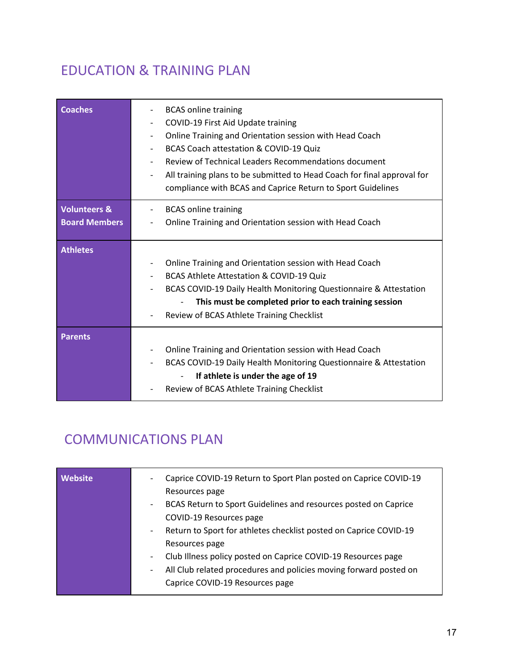## <span id="page-16-0"></span>EDUCATION & TRAINING PLAN

| <b>Coaches</b>          | <b>BCAS</b> online training<br>COVID-19 First Aid Update training<br>Online Training and Orientation session with Head Coach<br>$\overline{\phantom{a}}$<br>BCAS Coach attestation & COVID-19 Quiz<br>Review of Technical Leaders Recommendations document<br>$\overline{\phantom{0}}$<br>All training plans to be submitted to Head Coach for final approval for<br>compliance with BCAS and Caprice Return to Sport Guidelines |
|-------------------------|----------------------------------------------------------------------------------------------------------------------------------------------------------------------------------------------------------------------------------------------------------------------------------------------------------------------------------------------------------------------------------------------------------------------------------|
| <b>Volunteers &amp;</b> | <b>BCAS</b> online training                                                                                                                                                                                                                                                                                                                                                                                                      |
| <b>Board Members</b>    | Online Training and Orientation session with Head Coach                                                                                                                                                                                                                                                                                                                                                                          |
| <b>Athletes</b>         |                                                                                                                                                                                                                                                                                                                                                                                                                                  |
|                         | Online Training and Orientation session with Head Coach                                                                                                                                                                                                                                                                                                                                                                          |
|                         | BCAS Athlete Attestation & COVID-19 Quiz                                                                                                                                                                                                                                                                                                                                                                                         |
|                         | BCAS COVID-19 Daily Health Monitoring Questionnaire & Attestation                                                                                                                                                                                                                                                                                                                                                                |
|                         | This must be completed prior to each training session                                                                                                                                                                                                                                                                                                                                                                            |
|                         | Review of BCAS Athlete Training Checklist                                                                                                                                                                                                                                                                                                                                                                                        |
| <b>Parents</b>          |                                                                                                                                                                                                                                                                                                                                                                                                                                  |
|                         | Online Training and Orientation session with Head Coach                                                                                                                                                                                                                                                                                                                                                                          |
|                         | BCAS COVID-19 Daily Health Monitoring Questionnaire & Attestation                                                                                                                                                                                                                                                                                                                                                                |
|                         | If athlete is under the age of 19                                                                                                                                                                                                                                                                                                                                                                                                |
|                         | Review of BCAS Athlete Training Checklist                                                                                                                                                                                                                                                                                                                                                                                        |

## <span id="page-16-1"></span>COMMUNICATIONS PLAN

| <b>Website</b> | Caprice COVID-19 Return to Sport Plan posted on Caprice COVID-19<br>$\overline{\phantom{a}}$<br>Resources page<br>BCAS Return to Sport Guidelines and resources posted on Caprice<br>$\qquad \qquad -$<br>COVID-19 Resources page<br>Return to Sport for athletes checklist posted on Caprice COVID-19<br>$\overline{\phantom{0}}$<br>Resources page<br>Club Illness policy posted on Caprice COVID-19 Resources page<br>$\overline{\phantom{a}}$<br>All Club related procedures and policies moving forward posted on<br>- |
|----------------|-----------------------------------------------------------------------------------------------------------------------------------------------------------------------------------------------------------------------------------------------------------------------------------------------------------------------------------------------------------------------------------------------------------------------------------------------------------------------------------------------------------------------------|
|                | Caprice COVID-19 Resources page                                                                                                                                                                                                                                                                                                                                                                                                                                                                                             |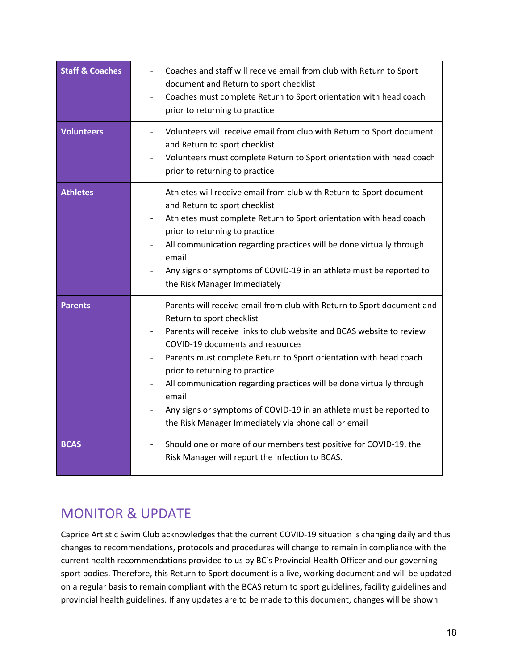| <b>Staff &amp; Coaches</b> | Coaches and staff will receive email from club with Return to Sport<br>document and Return to sport checklist<br>Coaches must complete Return to Sport orientation with head coach<br>$\overline{\phantom{a}}$<br>prior to returning to practice                                                                                                                                                                                                                                                                                                                    |
|----------------------------|---------------------------------------------------------------------------------------------------------------------------------------------------------------------------------------------------------------------------------------------------------------------------------------------------------------------------------------------------------------------------------------------------------------------------------------------------------------------------------------------------------------------------------------------------------------------|
| <b>Volunteers</b>          | Volunteers will receive email from club with Return to Sport document<br>and Return to sport checklist<br>Volunteers must complete Return to Sport orientation with head coach<br>$\overline{\phantom{a}}$<br>prior to returning to practice                                                                                                                                                                                                                                                                                                                        |
| <b>Athletes</b>            | Athletes will receive email from club with Return to Sport document<br>and Return to sport checklist<br>Athletes must complete Return to Sport orientation with head coach<br>$\overline{\phantom{a}}$<br>prior to returning to practice<br>All communication regarding practices will be done virtually through<br>email<br>Any signs or symptoms of COVID-19 in an athlete must be reported to<br>the Risk Manager Immediately                                                                                                                                    |
| <b>Parents</b>             | Parents will receive email from club with Return to Sport document and<br>$\overline{\phantom{a}}$<br>Return to sport checklist<br>Parents will receive links to club website and BCAS website to review<br>COVID-19 documents and resources<br>Parents must complete Return to Sport orientation with head coach<br>prior to returning to practice<br>All communication regarding practices will be done virtually through<br>email<br>Any signs or symptoms of COVID-19 in an athlete must be reported to<br>the Risk Manager Immediately via phone call or email |
| <b>BCAS</b>                | Should one or more of our members test positive for COVID-19, the<br>Risk Manager will report the infection to BCAS.                                                                                                                                                                                                                                                                                                                                                                                                                                                |

## <span id="page-17-0"></span>MONITOR & UPDATE

Caprice Artistic Swim Club acknowledges that the current COVID-19 situation is changing daily and thus changes to recommendations, protocols and procedures will change to remain in compliance with the current health recommendations provided to us by BC's Provincial Health Officer and our governing sport bodies. Therefore, this Return to Sport document is a live, working document and will be updated on a regular basis to remain compliant with the BCAS return to sport guidelines, facility guidelines and provincial health guidelines. If any updates are to be made to this document, changes will be shown